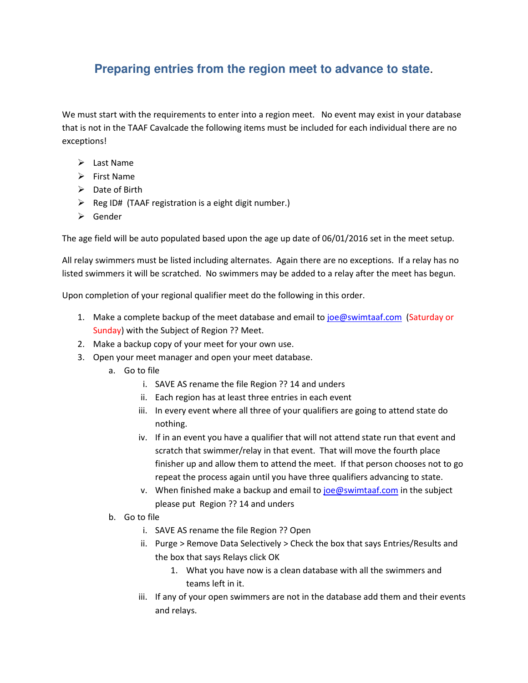## **Preparing entries from the region meet to advance to state**.

We must start with the requirements to enter into a region meet. No event may exist in your database that is not in the TAAF Cavalcade the following items must be included for each individual there are no exceptions!

- $\triangleright$  Last Name
- $\triangleright$  First Name
- $\triangleright$  Date of Birth
- $\triangleright$  Reg ID# (TAAF registration is a eight digit number.)
- Gender

The age field will be auto populated based upon the age up date of 06/01/2016 set in the meet setup.

All relay swimmers must be listed including alternates. Again there are no exceptions. If a relay has no listed swimmers it will be scratched. No swimmers may be added to a relay after the meet has begun.

Upon completion of your regional qualifier meet do the following in this order.

- 1. Make a complete backup of the meet database and email to joe@swimtaaf.com (Saturday or Sunday) with the Subject of Region ?? Meet.
- 2. Make a backup copy of your meet for your own use.
- 3. Open your meet manager and open your meet database.
	- a. Go to file
		- i. SAVE AS rename the file Region ?? 14 and unders
		- ii. Each region has at least three entries in each event
		- iii. In every event where all three of your qualifiers are going to attend state do nothing.
		- iv. If in an event you have a qualifier that will not attend state run that event and scratch that swimmer/relay in that event. That will move the fourth place finisher up and allow them to attend the meet. If that person chooses not to go repeat the process again until you have three qualifiers advancing to state.
		- v. When finished make a backup and email to  $\frac{1}{10}$  be  $\omega$  swimtaaf.com in the subject please put Region ?? 14 and unders
	- b. Go to file
		- i. SAVE AS rename the file Region ?? Open
		- ii. Purge > Remove Data Selectively > Check the box that says Entries/Results and the box that says Relays click OK
			- 1. What you have now is a clean database with all the swimmers and teams left in it.
		- iii. If any of your open swimmers are not in the database add them and their events and relays.